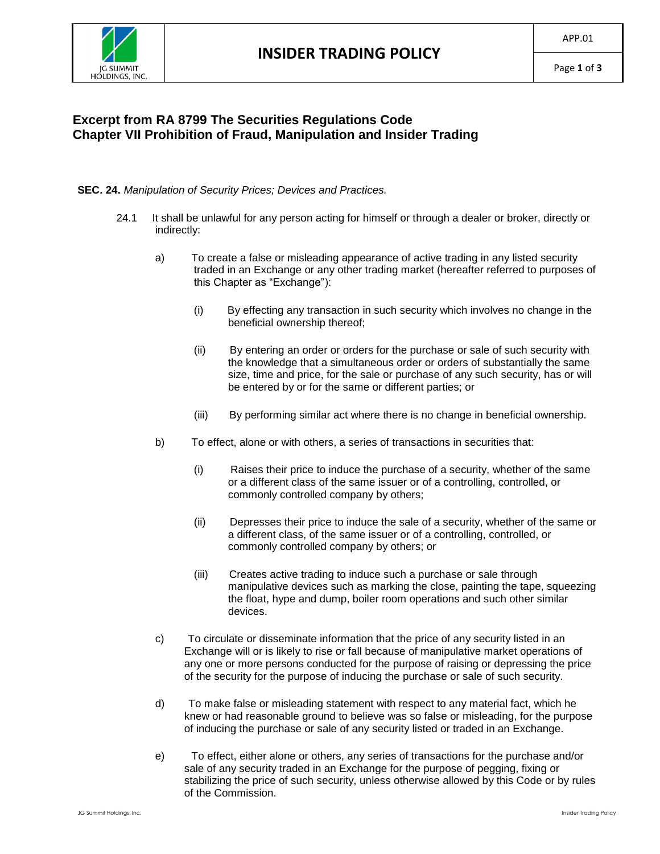

## **Excerpt from RA 8799 The Securities Regulations Code Chapter VII Prohibition of Fraud, Manipulation and Insider Trading**

## **SEC. 24.** *Manipulation of Security Prices; Devices and Practices.*

- 24.1 It shall be unlawful for any person acting for himself or through a dealer or broker, directly or indirectly:
	- a) To create a false or misleading appearance of active trading in any listed security traded in an Exchange or any other trading market (hereafter referred to purposes of this Chapter as "Exchange"):
		- (i) By effecting any transaction in such security which involves no change in the beneficial ownership thereof;
		- (ii) By entering an order or orders for the purchase or sale of such security with the knowledge that a simultaneous order or orders of substantially the same size, time and price, for the sale or purchase of any such security, has or will be entered by or for the same or different parties; or
		- (iii) By performing similar act where there is no change in beneficial ownership.
	- b) To effect, alone or with others, a series of transactions in securities that:
		- (i) Raises their price to induce the purchase of a security, whether of the same or a different class of the same issuer or of a controlling, controlled, or commonly controlled company by others;
		- (ii) Depresses their price to induce the sale of a security, whether of the same or a different class, of the same issuer or of a controlling, controlled, or commonly controlled company by others; or
		- (iii) Creates active trading to induce such a purchase or sale through manipulative devices such as marking the close, painting the tape, squeezing the float, hype and dump, boiler room operations and such other similar devices.
	- c) To circulate or disseminate information that the price of any security listed in an Exchange will or is likely to rise or fall because of manipulative market operations of any one or more persons conducted for the purpose of raising or depressing the price of the security for the purpose of inducing the purchase or sale of such security.
	- d) To make false or misleading statement with respect to any material fact, which he knew or had reasonable ground to believe was so false or misleading, for the purpose of inducing the purchase or sale of any security listed or traded in an Exchange.
	- e) To effect, either alone or others, any series of transactions for the purchase and/or sale of any security traded in an Exchange for the purpose of pegging, fixing or stabilizing the price of such security, unless otherwise allowed by this Code or by rules of the Commission.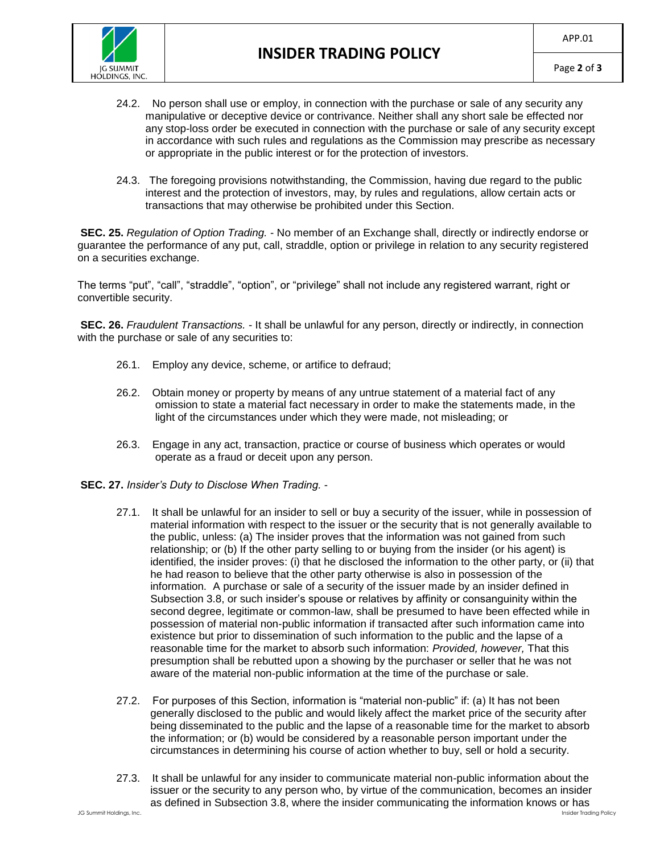

- 24.2. No person shall use or employ, in connection with the purchase or sale of any security any manipulative or deceptive device or contrivance. Neither shall any short sale be effected nor any stop-loss order be executed in connection with the purchase or sale of any security except in accordance with such rules and regulations as the Commission may prescribe as necessary or appropriate in the public interest or for the protection of investors.
- 24.3. The foregoing provisions notwithstanding, the Commission, having due regard to the public interest and the protection of investors, may, by rules and regulations, allow certain acts or transactions that may otherwise be prohibited under this Section.

**SEC. 25.** *Regulation of Option Trading.* - No member of an Exchange shall, directly or indirectly endorse or guarantee the performance of any put, call, straddle, option or privilege in relation to any security registered on a securities exchange.

The terms "put", "call", "straddle", "option", or "privilege" shall not include any registered warrant, right or convertible security.

**SEC. 26.** *Fraudulent Transactions.* - It shall be unlawful for any person, directly or indirectly, in connection with the purchase or sale of any securities to:

- 26.1. Employ any device, scheme, or artifice to defraud;
- 26.2. Obtain money or property by means of any untrue statement of a material fact of any omission to state a material fact necessary in order to make the statements made, in the light of the circumstances under which they were made, not misleading; or
- 26.3. Engage in any act, transaction, practice or course of business which operates or would operate as a fraud or deceit upon any person.
- **SEC. 27.** *Insider's Duty to Disclose When Trading.*
	- 27.1. It shall be unlawful for an insider to sell or buy a security of the issuer, while in possession of material information with respect to the issuer or the security that is not generally available to the public, unless: (a) The insider proves that the information was not gained from such relationship; or (b) If the other party selling to or buying from the insider (or his agent) is identified, the insider proves: (i) that he disclosed the information to the other party, or (ii) that he had reason to believe that the other party otherwise is also in possession of the information. A purchase or sale of a security of the issuer made by an insider defined in Subsection 3.8, or such insider's spouse or relatives by affinity or consanguinity within the second degree, legitimate or common-law, shall be presumed to have been effected while in possession of material non-public information if transacted after such information came into existence but prior to dissemination of such information to the public and the lapse of a reasonable time for the market to absorb such information: *Provided, however,* That this presumption shall be rebutted upon a showing by the purchaser or seller that he was not aware of the material non-public information at the time of the purchase or sale.
	- 27.2. For purposes of this Section, information is "material non-public" if: (a) It has not been generally disclosed to the public and would likely affect the market price of the security after being disseminated to the public and the lapse of a reasonable time for the market to absorb the information; or (b) would be considered by a reasonable person important under the circumstances in determining his course of action whether to buy, sell or hold a security.
	- 27.3. It shall be unlawful for any insider to communicate material non-public information about the issuer or the security to any person who, by virtue of the communication, becomes an insider as defined in Subsection 3.8, where the insider communicating the information knows or has